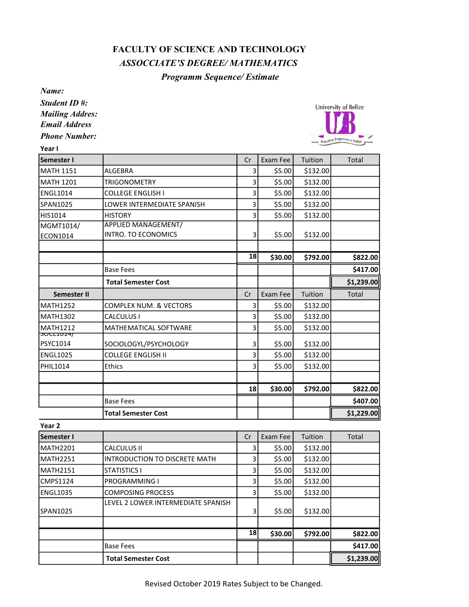## FACULTY OF SCIENCE AND TECHNOLOGY ASSOCCIATE'S DEGREE/ MATHEMATICS

## Programm Sequence/ Estimate

Name:

Student ID #: Mailing Addres: Email Address

Phone Number:



| Year I                       |                                   |        |              |          |             |
|------------------------------|-----------------------------------|--------|--------------|----------|-------------|
| Semester I                   |                                   | Cr     | Exam Fee     | Tuition  | Total       |
| <b>MATH 1151</b>             | <b>ALGEBRA</b>                    | 3      | \$5.00       | \$132.00 |             |
| <b>MATH 1201</b>             | <b>TRIGONOMETRY</b>               | 3      | \$5.00       | \$132.00 |             |
| <b>ENGL1014</b>              | <b>COLLEGE ENGLISH I</b>          | 3      | \$5.00       | \$132.00 |             |
| SPAN1025                     | LOWER INTERMEDIATE SPANISH        | 3      | \$5.00       | \$132.00 |             |
| HIS1014                      | <b>HISTORY</b>                    | 3      | \$5.00       | \$132.00 |             |
| MGMT1014/                    | <b>APPLIED MANAGEMENT/</b>        |        |              |          |             |
| ECON1014                     | <b>INTRO. TO ECONOMICS</b>        | 3      | \$5.00       | \$132.00 |             |
|                              |                                   |        |              |          |             |
|                              |                                   | 18     | \$30.00      | \$792.00 | \$822.00    |
|                              | <b>Base Fees</b>                  |        |              |          | \$417.00    |
|                              | <b>Total Semester Cost</b>        |        |              |          | \$1,239.00  |
| <b>Semester II</b>           |                                   | Cr     | Exam Fee     | Tuition  | Total       |
| <b>MATH1252</b>              | <b>COMPLEX NUM. &amp; VECTORS</b> | 3      | \$5.00       | \$132.00 |             |
| <b>MATH1302</b>              | CALCULUS I                        | 3      | \$5.00       | \$132.00 |             |
| <b>MATH1212</b>              | <b>MATHEMATICAL SOFTWARE</b>      | 3      | \$5.00       | \$132.00 |             |
| <b>SUCLIUI47</b><br>PSYC1014 | SOCIOLOGYL/PSYCHOLOGY             | 3      | \$5.00       | \$132.00 |             |
| <b>ENGL1025</b>              | <b>COLLEGE ENGLISH II</b>         | 3      | \$5.00       | \$132.00 |             |
| PHIL1014                     | <b>Ethics</b>                     | 3      | \$5.00       | \$132.00 |             |
|                              |                                   |        |              |          |             |
|                              |                                   | 18     | \$30.00      | \$792.00 | \$822.00    |
|                              | <b>Base Fees</b>                  |        |              |          | \$407.00    |
|                              | <b>Total Semester Cost</b>        |        |              |          | \$1,229.00  |
| Year <sub>2</sub>            |                                   |        |              |          |             |
|                              |                                   | $\sim$ | $\mathbf{I}$ |          | $T - 1 - 1$ |

| <b>Semester I</b>    |                                    | Cr        | Exam Fee | Tuition  | Total      |
|----------------------|------------------------------------|-----------|----------|----------|------------|
| MATH2201             | <b>CALCULUS II</b>                 | 3         | \$5.00   | \$132.00 |            |
| MATH <sub>2251</sub> | IINTRODUCTION TO DISCRETE MATH     | 3         | \$5.00   | \$132.00 |            |
| MATH2151             | <b>STATISTICS I</b>                | 3         | \$5.00   | \$132.00 |            |
| CMPS1124             | IPROGRAMMING I                     |           | \$5.00   | \$132.00 |            |
| ENGL1035             | <b>COMPOSING PROCESS</b>           | 3         | \$5.00   | \$132.00 |            |
|                      | LEVEL 2 LOWER INTERMEDIATE SPANISH |           |          |          |            |
| SPAN1025             |                                    | 3         | \$5.00   | \$132.00 |            |
|                      |                                    |           |          |          |            |
|                      |                                    | <b>18</b> | \$30.00  | \$792.00 | \$822.00   |
|                      | <b>Base Fees</b>                   |           |          |          | \$417.00   |
|                      | <b>Total Semester Cost</b>         |           |          |          | \$1,239.00 |